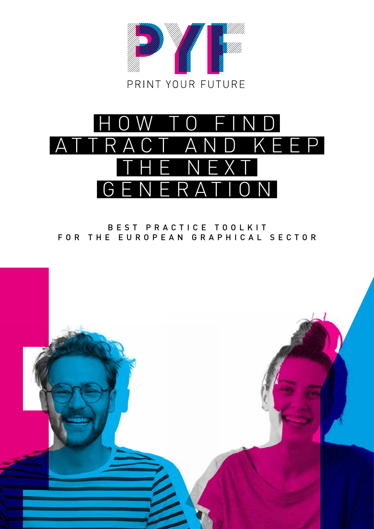



#### B E S T P R A C T I C E T O O L K I T FOR THE EUROPEAN GRAPHICAL SECTOR

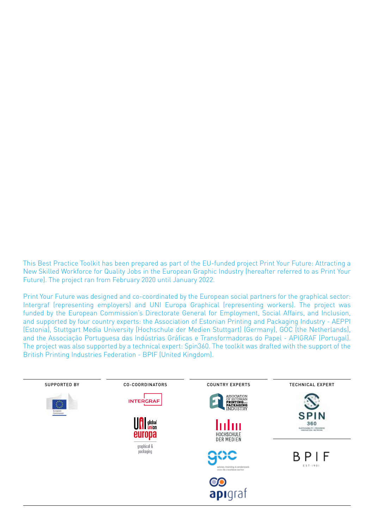This Best Practice Toolkit has been prepared as part of the EU-funded project Print Your Future: Attracting a New Skilled Workforce for Quality Jobs in the European Graphic Industry (hereafter referred to as Print Your Future). The project ran from February 2020 until January 2022.

Print Your Future was designed and co-coordinated by the European social partners for the graphical sector: Intergraf (representing employers) and UNI Europa Graphical (representing workers). The project was funded by the European Commission's Directorate General for Employment, Social Affairs, and Inclusion, and supported by four country experts: the Association of Estonian Printing and Packaging Industry - AEPPI (Estonia), Stuttgart Media University (Hochschule der Medien Stuttgart) (Germany), GOC (the Netherlands), and the Associação Portuguesa das Indústrias Gráficas e Transformadoras do Papel - APIGRAF (Portugal). The project was also supported by a technical expert: Spin360. The toolkit was drafted with the support of the British Printing Industries Federation - BPIF (United Kingdom).

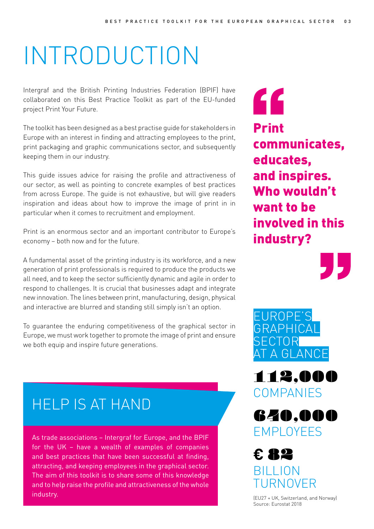## INTRODUCTION

Intergraf and the British Printing Industries Federation (BPIF) have collaborated on this Best Practice Toolkit as part of the EU-funded project Print Your Future.

The toolkit has been designed as a best practise guide for stakeholders in Europe with an interest in finding and attracting employees to the print, print packaging and graphic communications sector, and subsequently keeping them in our industry.

This guide issues advice for raising the profile and attractiveness of our sector, as well as pointing to concrete examples of best practices from across Europe. The guide is not exhaustive, but will give readers inspiration and ideas about how to improve the image of print in in particular when it comes to recruitment and employment.

Print is an enormous sector and an important contributor to Europe's economy – both now and for the future.

A fundamental asset of the printing industry is its workforce, and a new generation of print professionals is required to produce the products we all need, and to keep the sector sufficiently dynamic and agile in order to respond to challenges. It is crucial that businesses adapt and integrate new innovation. The lines between print, manufacturing, design, physical and interactive are blurred and standing still simply isn't an option.

To guarantee the enduring competitiveness of the graphical sector in Europe, we must work together to promote the image of print and ensure we both equip and inspire future generations.

#### HELP IS AT HAND

As trade associations – Intergraf for Europe, and the BPIF for the UK – have a wealth of examples of companies and best practices that have been successful at finding, attracting, and keeping employees in the graphical sector. The aim of this toolkit is to share some of this knowledge and to help raise the profile and attractiveness of the whole industry.

" Print communicates, educates, and inspires. Who wouldn't want to be involved in this industry?





112,000 **COMPANIES** 



**€** 82 BILLION TURNOVER

(EU27 + UK, Switzerland, and Norway) Source: Eurostat 2018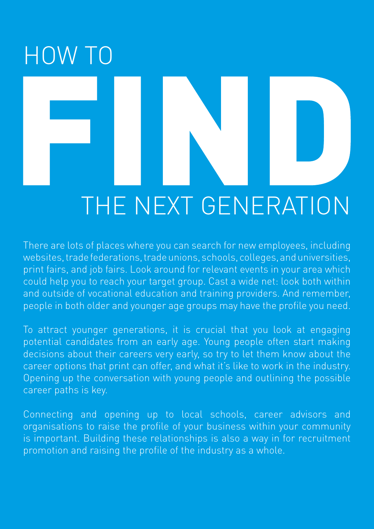# HOW TO THE NEXT GENERATION

There are lots of places where you can search for new employees, including websites, trade federations, trade unions, schools, colleges, and universities, print fairs, and job fairs. Look around for relevant events in your area which could help you to reach your target group. Cast a wide net: look both within and outside of vocational education and training providers. And remember, people in both older and younger age groups may have the profile you need.

To attract younger generations, it is crucial that you look at engaging potential candidates from an early age. Young people often start making decisions about their careers very early, so try to let them know about the career options that print can offer, and what it's like to work in the industry. Opening up the conversation with young people and outlining the possible career paths is key.

Connecting and opening up to local schools, career advisors and organisations to raise the profile of your business within your community is important. Building these relationships is also a way in for recruitment promotion and raising the profile of the industry as a whole.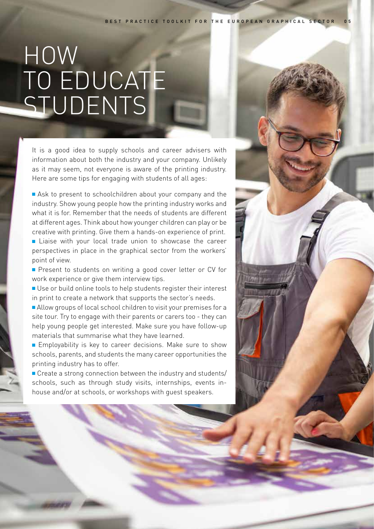## HOW TO EDUCATE STUDENTS

It is a good idea to supply schools and career advisers with information about both the industry and your company. Unlikely as it may seem, not everyone is aware of the printing industry. Here are some tips for engaging with students of all ages:

Ask to present to schoolchildren about your company and the industry. Show young people how the printing industry works and what it is for. Remember that the needs of students are different at different ages. Think about how younger children can play or be creative with printing. Give them a hands-on experience of print. ■ Liaise with your local trade union to showcase the career

perspectives in place in the graphical sector from the workers' point of view.

**P** Present to students on writing a good cover letter or CV for work experience or give them interview tips.

■ Use or build online tools to help students register their interest in print to create a network that supports the sector's needs.

Allow groups of local school children to visit your premises for a site tour. Try to engage with their parents or carers too - they can help young people get interested. Make sure you have follow-up materials that summarise what they have learned.

■ Employability is key to career decisions. Make sure to show schools, parents, and students the many career opportunities the printing industry has to offer.

■ Create a strong connection between the industry and students/ schools, such as through study visits, internships, events inhouse and/or at schools, or workshops with guest speakers.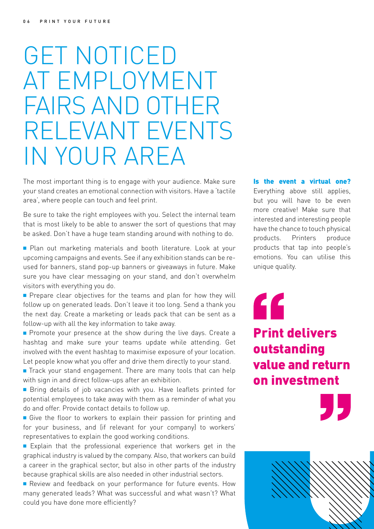## GET NOTICED AT EMPLOYMENT FAIRS AND OTHER RELEVANT EVENTS IN YOUR AREA

The most important thing is to engage with your audience. Make sure your stand creates an emotional connection with visitors. Have a 'tactile area', where people can touch and feel print.

Be sure to take the right employees with you. Select the internal team that is most likely to be able to answer the sort of questions that may be asked. Don't have a huge team standing around with nothing to do.

**Plan out marketing materials and booth literature. Look at your** upcoming campaigns and events. See if any exhibition stands can be reused for banners, stand pop-up banners or giveaways in future. Make sure you have clear messaging on your stand, and don't overwhelm visitors with everything you do.

**Prepare clear objectives for the teams and plan for how they will** follow up on generated leads. Don't leave it too long. Send a thank you the next day. Create a marketing or leads pack that can be sent as a follow-up with all the key information to take away.

**Promote your presence at the show during the live days. Create a** hashtag and make sure your teams update while attending. Get involved with the event hashtag to maximise exposure of your location. Let people know what you offer and drive them directly to your stand.

■ Track your stand engagement. There are many tools that can help with sign in and direct follow-ups after an exhibition.

■ Bring details of job vacancies with you. Have leaflets printed for potential employees to take away with them as a reminder of what you do and offer. Provide contact details to follow up.

 $\blacksquare$  Give the floor to workers to explain their passion for printing and for your business, and (if relevant for your company) to workers' representatives to explain the good working conditions.

 $\blacksquare$  Explain that the professional experience that workers get in the graphical industry is valued by the company. Also, that workers can build a career in the graphical sector, but also in other parts of the industry because graphical skills are also needed in other industrial sectors.

Review and feedback on your performance for future events. How many generated leads? What was successful and what wasn't? What could you have done more efficiently?

#### Is the event a virtual one?

Everything above still applies, but you will have to be even more creative! Make sure that interested and interesting people have the chance to touch physical products. Printers produce products that tap into people's emotions. You can utilise this unique quality.

" Print delivers outstanding value and return on investment

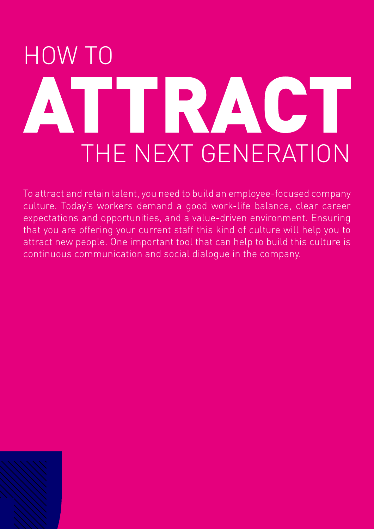## HOW TO TRACT THE NEXT GENERATION

To attract and retain talent, you need to build an employee-focused company culture. Today's workers demand a good work-life balance, clear career expectations and opportunities, and a value-driven environment. Ensuring that you are offering your current staff this kind of culture will help you to attract new people. One important tool that can help to build this culture is continuous communication and social dialogue in the company.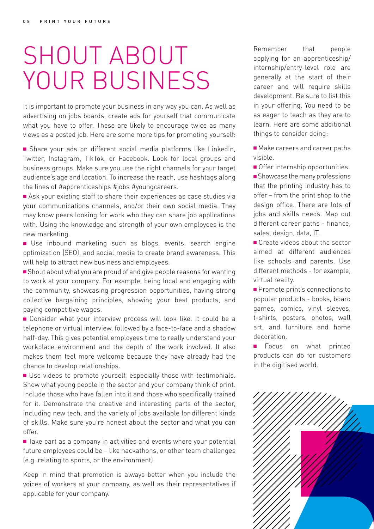## SHOUT ABOUT YOUR BUSINESS

It is important to promote your business in any way you can. As well as advertising on jobs boards, create ads for yourself that communicate what you have to offer. These are likely to encourage twice as many views as a posted job. Here are some more tips for promoting yourself:

<sup>n</sup> Share your ads on different social media platforms like LinkedIn, Twitter, Instagram, TikTok, or Facebook. Look for local groups and business groups. Make sure you use the right channels for your target audience's age and location. To increase the reach, use hashtags along the lines of #apprenticeships #jobs #youngcareers.

■ Ask your existing staff to share their experiences as case studies via your communications channels, and/or their own social media. They may know peers looking for work who they can share job applications with. Using the knowledge and strength of your own employees is the new marketing.

**n** Use inbound marketing such as blogs, events, search engine optimization (SEO), and social media to create brand awareness. This will help to attract new business and employees.

■ Shout about what you are proud of and give people reasons for wanting to work at your company. For example, being local and engaging with the community, showcasing progression opportunities, having strong collective bargaining principles, showing your best products, and paying competitive wages.

■ Consider what your interview process will look like. It could be a telephone or virtual interview, followed by a face-to-face and a shadow half-day. This gives potential employees time to really understand your workplace environment and the depth of the work involved. It also makes them feel more welcome because they have already had the chance to develop relationships.

■ Use videos to promote yourself, especially those with testimonials. Show what young people in the sector and your company think of print. Include those who have fallen into it and those who specifically trained for it. Demonstrate the creative and interesting parts of the sector, including new tech, and the variety of jobs available for different kinds of skills. Make sure you're honest about the sector and what you can offer.

■ Take part as a company in activities and events where your potential future employees could be – like hackathons, or other team challenges (e.g. relating to sports, or the environment).

Keep in mind that promotion is always better when you include the voices of workers at your company, as well as their representatives if applicable for your company.

Remember that people applying for an apprenticeship/ internship/entry-level role are generally at the start of their career and will require skills development. Be sure to list this in your offering. You need to be as eager to teach as they are to learn. Here are some additional things to consider doing:

■ Make careers and career paths visible.

**Offer internship opportunities.** 

 $\blacksquare$  Showcase the many professions that the printing industry has to offer – from the print shop to the design office. There are lots of jobs and skills needs. Map out different career paths - finance, sales, design, data, IT.

■ Create videos about the sector aimed at different audiences like schools and parents. Use different methods - for example, virtual reality.

**Promote print's connections to** popular products - books, board games, comics, vinyl sleeves, t-shirts, posters, photos, wall art, and furniture and home decoration.

Focus on what printed products can do for customers in the digitised world.

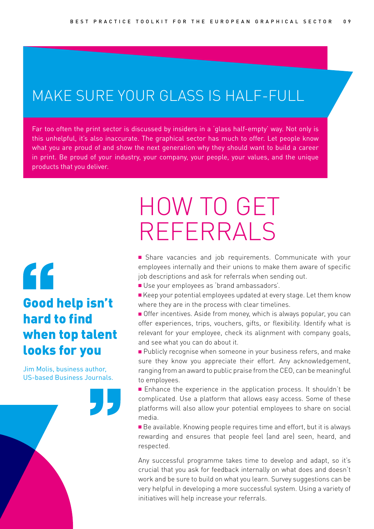#### MAKE SURE YOUR GLASS IS HALF-FULL

Far too often the print sector is discussed by insiders in a 'glass half-empty' way. Not only is this unhelpful, it's also inaccurate. The graphical sector has much to offer. Let people know what you are proud of and show the next generation why they should want to build a career in print. Be proud of your industry, your company, your people, your values, and the unique products that you deliver.

#### $\epsilon$ Good help isn't hard to find when top talent looks for you

Jim Molis, business author, US-based Business Journals.

## HOW TO GET REFERRALS

**n** Share vacancies and job requirements. Communicate with your employees internally and their unions to make them aware of specific job descriptions and ask for referrals when sending out.

- Use your employees as 'brand ambassadors'.
- <sup>n</sup> Keep your potential employees updated at every stage. Let them know where they are in the process with clear timelines.
- **Offer incentives.** Aside from money, which is always popular, you can offer experiences, trips, vouchers, gifts, or flexibility. Identify what is relevant for your employee, check its alignment with company goals, and see what you can do about it.
- **Publicly recognise when someone in your business refers, and make** sure they know you appreciate their effort. Any acknowledgement, ranging from an award to public praise from the CEO, can be meaningful to employees.
- Enhance the experience in the application process. It shouldn't be complicated. Use a platform that allows easy access. Some of these platforms will also allow your potential employees to share on social media.
- Be available. Knowing people requires time and effort, but it is always rewarding and ensures that people feel (and are) seen, heard, and respected.

Any successful programme takes time to develop and adapt, so it's crucial that you ask for feedback internally on what does and doesn't work and be sure to build on what you learn. Survey suggestions can be very helpful in developing a more successful system. Using a variety of initiatives will help increase your referrals.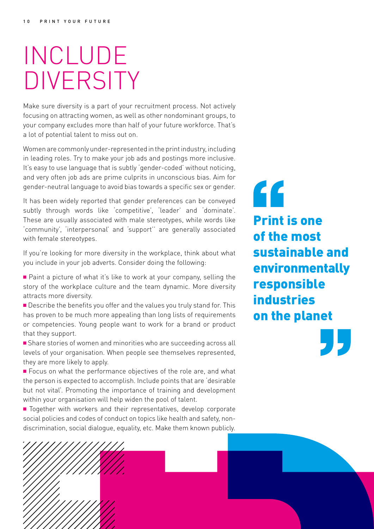## INCLUDE **DIVERSITY**

Make sure diversity is a part of your recruitment process. Not actively focusing on attracting women, as well as other nondominant groups, to your company excludes more than half of your future workforce. That's a lot of potential talent to miss out on.

Women are commonly under-represented in the print industry, including in leading roles. Try to make your job ads and postings more inclusive. It's easy to use language that is subtly 'gender-coded' without noticing, and very often job ads are prime culprits in unconscious bias. Aim for gender-neutral language to avoid bias towards a specific sex or gender.

It has been widely reported that gender preferences can be conveyed subtly through words like 'competitive', 'leader' and 'dominate'. These are usually associated with male stereotypes, while words like 'community', 'interpersonal' and 'support'' are generally associated with female stereotypes.

If you're looking for more diversity in the workplace, think about what you include in your job adverts. Consider doing the following:

■ Paint a picture of what it's like to work at your company, selling the story of the workplace culture and the team dynamic. More diversity attracts more diversity.

**n** Describe the benefits you offer and the values you truly stand for. This has proven to be much more appealing than long lists of requirements or competencies. Young people want to work for a brand or product that they support.

**n** Share stories of women and minorities who are succeeding across all levels of your organisation. When people see themselves represented, they are more likely to apply.

■ Focus on what the performance objectives of the role are, and what the person is expected to accomplish. Include points that are 'desirable but not vital'. Promoting the importance of training and development within your organisation will help widen the pool of talent.

■ Together with workers and their representatives, develop corporate social policies and codes of conduct on topics like health and safety, nondiscrimination, social dialogue, equality, etc. Make them known publicly.

 $\epsilon$ Print is one of the most sustainable and environmentally responsible industries on the planet

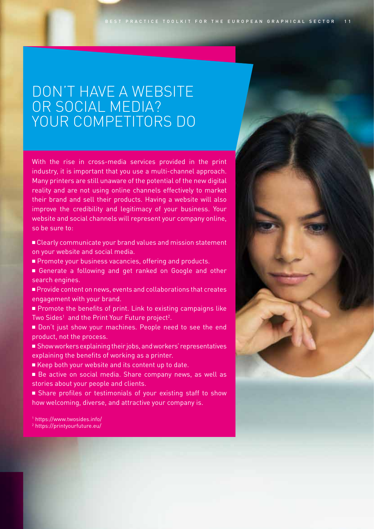#### DON'T HAVE A WEBSITE OR SOCIAL MEDIA? YOUR COMPETITORS DO

With the rise in cross-media services provided in the print industry, it is important that you use a multi-channel approach. Many printers are still unaware of the potential of the new digital reality and are not using online channels effectively to market their brand and sell their products. Having a website will also improve the credibility and legitimacy of your business. Your website and social channels will represent your company online, so be sure to:

- <sup>n</sup> Clearly communicate your brand values and mission statement on your website and social media.
- **Promote your business vacancies, offering and products.**
- <sup>n</sup> Generate a following and get ranked on Google and other search engines.
- <sup>n</sup> Provide content on news, events and collaborations that creates engagement with your brand.
- **n** Promote the benefits of print. Link to existing campaigns like Two Sides<sup>1</sup> and the Print Your Future project<sup>2</sup>.
- Don't just show your machines. People need to see the end product, not the process.
- <sup>n</sup> Show workers explaining their jobs, and workers' representatives explaining the benefits of working as a printer.
- Keep both your website and its content up to date.
- <sup>n</sup> Be active on social media. Share company news, as well as stories about your people and clients.
- <sup>n</sup> Share profiles or testimonials of your existing staff to show how welcoming, diverse, and attractive your company is.

1 https://www.twosides.info/ 2 https://printyourfuture.eu/

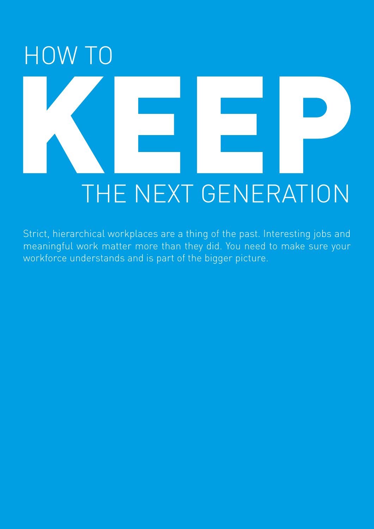## HOW TO THE NEXT GENERATION

Strict, hierarchical workplaces are a thing of the past. Interesting jobs and meaningful work matter more than they did. You need to make sure your workforce understands and is part of the bigger picture.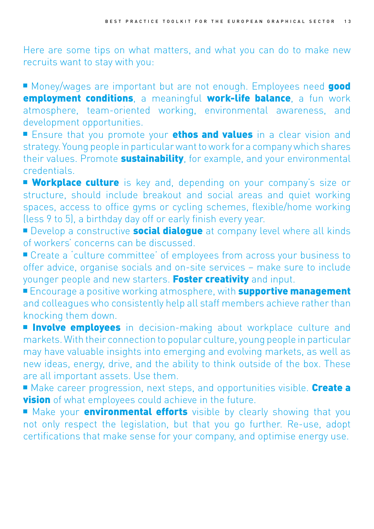Here are some tips on what matters, and what you can do to make new recruits want to stay with you:

■ Money/wages are important but are not enough. Employees need good employment conditions, a meaningful work-life balance, a fun work atmosphere, team-oriented working, environmental awareness, and development opportunities.

Ensure that you promote your **ethos and values** in a clear vision and strategy. Young people in particular want to work for a company which shares their values. Promote **sustainability**, for example, and your environmental credentials.

**Workplace culture** is key and, depending on your company's size or structure, should include breakout and social areas and quiet working spaces, access to office gyms or cycling schemes, flexible/home working (less 9 to 5), a birthday day off or early finish every year.

Develop a constructive **social dialogue** at company level where all kinds of workers' concerns can be discussed.

■ Create a 'culture committee' of employees from across your business to offer advice, organise socials and on-site services – make sure to include younger people and new starters. Foster creativity and input.

**Encourage a positive working atmosphere, with supportive management** and colleagues who consistently help all staff members achieve rather than knocking them down.

**n Involve employees** in decision-making about workplace culture and markets. With their connection to popular culture, young people in particular may have valuable insights into emerging and evolving markets, as well as new ideas, energy, drive, and the ability to think outside of the box. These are all important assets. Use them.

■ Make career progression, next steps, and opportunities visible. Create a **vision** of what employees could achieve in the future.

**n** Make your **environmental efforts** visible by clearly showing that you not only respect the legislation, but that you go further. Re-use, adopt certifications that make sense for your company, and optimise energy use.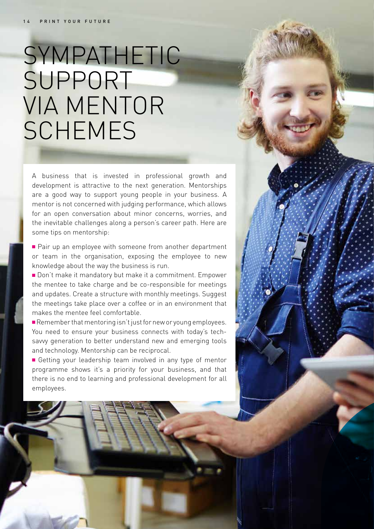## SYMPATHETIC SUPPORT VIA MENTOR SCHEMES

A business that is invested in professional growth and development is attractive to the next generation. Mentorships are a good way to support young people in your business. A mentor is not concerned with judging performance, which allows for an open conversation about minor concerns, worries, and the inevitable challenges along a person's career path. Here are some tips on mentorship:

■ Pair up an employee with someone from another department or team in the organisation, exposing the employee to new knowledge about the way the business is run.

■ Don't make it mandatory but make it a commitment. Empower the mentee to take charge and be co-responsible for meetings and updates. Create a structure with monthly meetings. Suggest the meetings take place over a coffee or in an environment that makes the mentee feel comfortable.

 $\blacksquare$  Remember that mentoring isn't just for new or young employees. You need to ensure your business connects with today's techsavvy generation to better understand new and emerging tools and technology. Mentorship can be reciprocal.

■ Getting your leadership team involved in any type of mentor programme shows it's a priority for your business, and that there is no end to learning and professional development for all employees.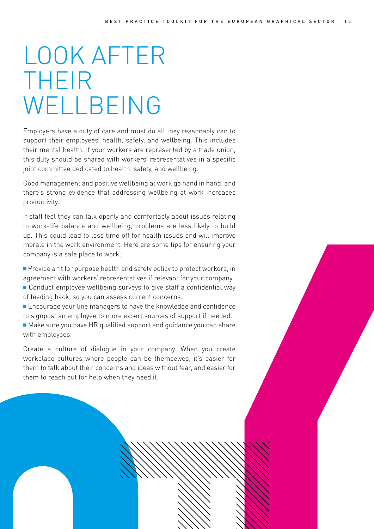## LOOK AFTER THEIR WELLBEING

Employers have a duty of care and must do all they reasonably can to support their employees' health, safety, and wellbeing. This includes their mental health. If your workers are represented by a trade union, this duty should be shared with workers' representatives in a specific joint committee dedicated to health, safety, and wellbeing.

Good management and positive wellbeing at work go hand in hand, and there's strong evidence that addressing wellbeing at work increases productivity.

If staff feel they can talk openly and comfortably about issues relating to work-life balance and wellbeing, problems are less likely to build up. This could lead to less time off for health issues and will improve morale in the work environment. Here are some tips for ensuring your company is a safe place to work:

**Provide a fit for purpose health and safety policy to protect workers, in** agreement with workers' representatives if relevant for your company.  $\blacksquare$  Conduct employee wellbeing surveys to give staff a confidential way of feeding back, so you can assess current concerns.

 $\blacksquare$  Encourage your line managers to have the knowledge and confidence to signpost an employee to more expert sources of support if needed.

■ Make sure you have HR qualified support and quidance you can share with employees.

Create a culture of dialogue in your company. When you create workplace cultures where people can be themselves, it's easier for them to talk about their concerns and ideas without fear, and easier for them to reach out for help when they need it.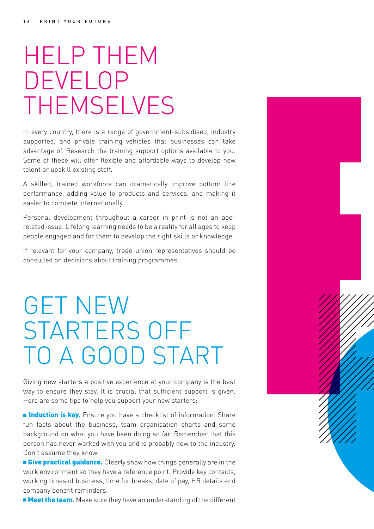## HELP THEM DEVELOP THEMSELVES

In every country, there is a range of government-subsidised, industry supported, and private training vehicles that businesses can take advantage of. Research the training support options available to you. Some of these will offer flexible and affordable ways to develop new talent or upskill existing staff.

A skilled, trained workforce can dramatically improve bottom line performance, adding value to products and services, and making it easier to compete internationally.

Personal development throughout a career in print is not an agerelated issue. Lifelong learning needs to be a reality for all ages to keep people engaged and for them to develop the right skills or knowledge.

If relevant for your company, trade union representatives should be consulted on decisions about training programmes.

## GET NEW STARTERS OFF TO A GOOD START

Giving new starters a positive experience at your company is the best way to ensure they stay. It is crucial that sufficient support is given. Here are some tips to help you support your new starters:

**n Induction is key.** Ensure you have a checklist of information. Share fun facts about the business, team organisation charts and some background on what you have been doing so far. Remember that this person has never worked with you and is probably new to the industry. Don't assume they know.

**Eive practical guidance.** Clearly show how things generally are in the work environment so they have a reference point. Provide key contacts, working times of business, time for breaks, date of pay, HR details and company benefit reminders.

**n Meet the team.** Make sure they have an understanding of the different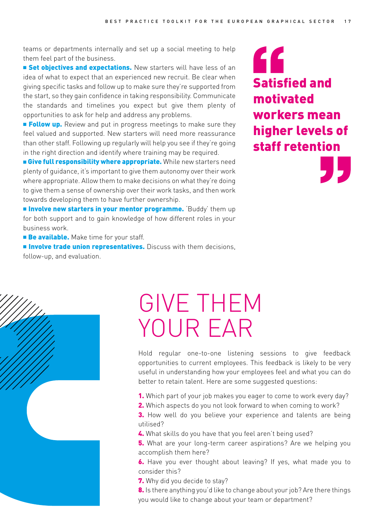teams or departments internally and set up a social meeting to help them feel part of the business.

**Example 1** Set objectives and expectations. New starters will have less of an idea of what to expect that an experienced new recruit. Be clear when giving specific tasks and follow up to make sure they're supported from the start, so they gain confidence in taking responsibility. Communicate the standards and timelines you expect but give them plenty of opportunities to ask for help and address any problems.

**Follow up.** Review and put in progress meetings to make sure they feel valued and supported. New starters will need more reassurance than other staff. Following up regularly will help you see if they're going in the right direction and identify where training may be required.

**E** Give full responsibility where appropriate. While new starters need plenty of guidance, it's important to give them autonomy over their work where appropriate. Allow them to make decisions on what they're doing to give them a sense of ownership over their work tasks, and then work towards developing them to have further ownership.

**n** Involve new starters in your mentor programme. Buddy' them up for both support and to gain knowledge of how different roles in your business work.

**Be available.** Make time for your staff.

**n Involve trade union representatives.** Discuss with them decisions, follow-up, and evaluation.

#### " Satisfied and motivated workers mean higher levels of staff retention



## GIVE THEM YOUR EAR

Hold regular one-to-one listening sessions to give feedback opportunities to current employees. This feedback is likely to be very useful in understanding how your employees feel and what you can do better to retain talent. Here are some suggested questions:

- 1. Which part of your job makes you eager to come to work every day?
- 2. Which aspects do you not look forward to when coming to work?
- **3.** How well do you believe your experience and talents are being utilised?
- 4. What skills do you have that you feel aren't being used?

**5.** What are your long-term career aspirations? Are we helping you accomplish them here?

6. Have you ever thought about leaving? If yes, what made you to consider this?

7. Why did you decide to stay?

8. Is there anything you'd like to change about your job? Are there things you would like to change about your team or department?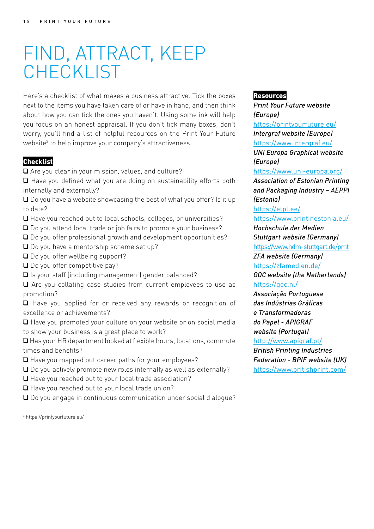### FIND, ATTRACT, KEEP CHECKLIST

Here's a checklist of what makes a business attractive. Tick the boxes next to the items you have taken care of or have in hand, and then think about how you can tick the ones you haven't. Using some ink will help you focus on an honest appraisal. If you don't tick many boxes, don't worry, you'll find a list of helpful resources on the Print Your Future website<sup>3</sup> to help improve your company's attractiveness.

#### **Checklist**

 $\Box$  Are you clear in your mission, values, and culture?

 $\Box$  Have you defined what you are doing on sustainability efforts both internally and externally?

 $\Box$  Do you have a website showcasing the best of what you offer? Is it up to date?

 $\Box$  Have you reached out to local schools, colleges, or universities?

 $\Box$  Do you attend local trade or job fairs to promote your business?

 $\Box$  Do you offer professional growth and development opportunities?

 $\Box$  Do you have a mentorship scheme set up?

 $\Box$  Do you offer wellbeing support?

 $\Box$  Do you offer competitive pay?

 $\square$  Is your staff (including management) gender balanced?

 $\Box$  Are you collating case studies from current employees to use as promotion?

q Have you applied for or received any rewards or recognition of excellence or achievements?

 $\Box$  Have you promoted your culture on your website or on social media to show your business is a great place to work?

 $\Box$  Has your HR department looked at flexible hours, locations, commute times and benefits?

 $\square$  Have you mapped out career paths for your employees?

 $\Box$  Do you actively promote new roles internally as well as externally?

 $\Box$  Have you reached out to your local trade association?

 $\Box$  Have you reached out to your local trade union?

 $\square$  Do you engage in continuous communication under social dialogue?

3 https://printyourfuture.eu/

#### Resources

*Print Your Future website (Europe)* https://printyourfuture.eu/ *Intergraf website (Europe)*  https://www.intergraf.eu/ *UNI Europa Graphical website (Europe)* https://www.uni-europa.org/ *Association of Estonian Printing and Packaging Industry – AEPPI (Estonia)* https://etpl.ee/ https://www.printinestonia.eu/ *Hochschule der Medien Stuttgart website (Germany)* https://www.hdm-stuttgart.de/pmt *ZFA website (Germany)* https://zfamedien.de/ *GOC website (the Netherlands)* https://goc.nl/ *Associação Portuguesa das Indústrias Gráficas e Transformadoras do Papel - APIGRAF website (Portugal)* http://www.apigraf.pt/ *British Printing Industries Federation - BPIF website (UK)* https://www.britishprint.com/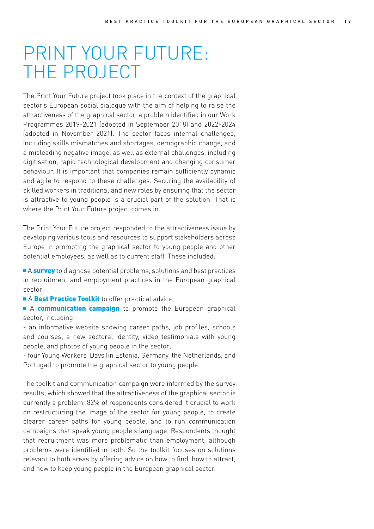#### PRINT YOUR FUTURE: THE PROJECT

The Print Your Future project took place in the context of the graphical sector's European social dialogue with the aim of helping to raise the attractiveness of the graphical sector, a problem identified in our Work Programmes 2019-2021 (adopted in September 2018) and 2022-2024 (adopted in November 2021). The sector faces internal challenges, including skills mismatches and shortages, demographic change, and a misleading negative image, as well as external challenges, including digitisation, rapid technological development and changing consumer behaviour. It is important that companies remain sufficiently dynamic and agile to respond to these challenges. Securing the availability of skilled workers in traditional and new roles by ensuring that the sector is attractive to young people is a crucial part of the solution. That is where the Print Your Future project comes in.

The Print Your Future project responded to the attractiveness issue by developing various tools and resources to support stakeholders across Europe in promoting the graphical sector to young people and other potential employees, as well as to current staff. These included:

A survey to diagnose potential problems, solutions and best practices in recruitment and employment practices in the European graphical sector;

A Best Practice Toolkit to offer practical advice;

A communication campaign to promote the European graphical sector, including:

- an informative website showing career paths, job profiles, schools and courses, a new sectoral identity, video testimonials with young people, and photos of young people in the sector;

- four Young Workers' Days (in Estonia, Germany, the Netherlands, and Portugal) to promote the graphical sector to young people.

The toolkit and communication campaign were informed by the survey results, which showed that the attractiveness of the graphical sector is currently a problem. 82% of respondents considered it crucial to work on restructuring the image of the sector for young people, to create clearer career paths for young people, and to run communication campaigns that speak young people's language. Respondents thought that recruitment was more problematic than employment, although problems were identified in both. So the toolkit focuses on solutions relevant to both areas by offering advice on how to find, how to attract, and how to keep young people in the European graphical sector.